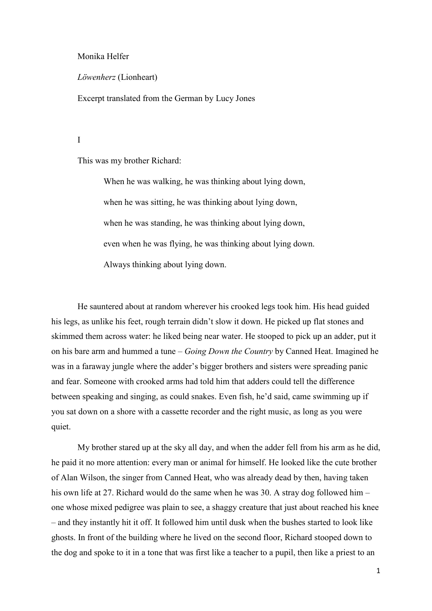## Monika Helfer

*Löwenherz* (Lionheart)

Excerpt translated from the German by Lucy Jones

I

This was my brother Richard:

When he was walking, he was thinking about lying down, when he was sitting, he was thinking about lying down, when he was standing, he was thinking about lying down, even when he was flying, he was thinking about lying down. Always thinking about lying down.

He sauntered about at random wherever his crooked legs took him. His head guided his legs, as unlike his feet, rough terrain didn't slow it down. He picked up flat stones and skimmed them across water: he liked being near water. He stooped to pick up an adder, put it on his bare arm and hummed a tune – *Going Down the Country* by Canned Heat. Imagined he was in a faraway jungle where the adder's bigger brothers and sisters were spreading panic and fear. Someone with crooked arms had told him that adders could tell the difference between speaking and singing, as could snakes. Even fish, he'd said, came swimming up if you sat down on a shore with a cassette recorder and the right music, as long as you were quiet.

My brother stared up at the sky all day, and when the adder fell from his arm as he did, he paid it no more attention: every man or animal for himself. He looked like the cute brother of Alan Wilson, the singer from Canned Heat, who was already dead by then, having taken his own life at 27. Richard would do the same when he was 30. A stray dog followed him – one whose mixed pedigree was plain to see, a shaggy creature that just about reached his knee – and they instantly hit it off. It followed him until dusk when the bushes started to look like ghosts. In front of the building where he lived on the second floor, Richard stooped down to the dog and spoke to it in a tone that was first like a teacher to a pupil, then like a priest to an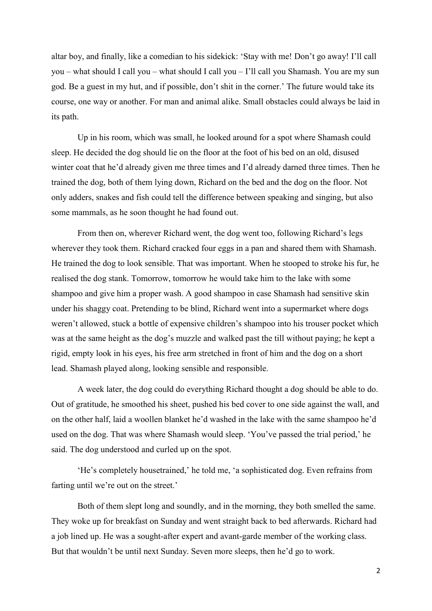altar boy, and finally, like a comedian to his sidekick: 'Stay with me! Don't go away! I'll call you – what should I call you – what should I call you – I'll call you Shamash. You are my sun god. Be a guest in my hut, and if possible, don't shit in the corner.' The future would take its course, one way or another. For man and animal alike. Small obstacles could always be laid in its path.

Up in his room, which was small, he looked around for a spot where Shamash could sleep. He decided the dog should lie on the floor at the foot of his bed on an old, disused winter coat that he'd already given me three times and I'd already darned three times. Then he trained the dog, both of them lying down, Richard on the bed and the dog on the floor. Not only adders, snakes and fish could tell the difference between speaking and singing, but also some mammals, as he soon thought he had found out.

From then on, wherever Richard went, the dog went too, following Richard's legs wherever they took them. Richard cracked four eggs in a pan and shared them with Shamash. He trained the dog to look sensible. That was important. When he stooped to stroke his fur, he realised the dog stank. Tomorrow, tomorrow he would take him to the lake with some shampoo and give him a proper wash. A good shampoo in case Shamash had sensitive skin under his shaggy coat. Pretending to be blind, Richard went into a supermarket where dogs weren't allowed, stuck a bottle of expensive children's shampoo into his trouser pocket which was at the same height as the dog's muzzle and walked past the till without paying; he kept a rigid, empty look in his eyes, his free arm stretched in front of him and the dog on a short lead. Shamash played along, looking sensible and responsible.

A week later, the dog could do everything Richard thought a dog should be able to do. Out of gratitude, he smoothed his sheet, pushed his bed cover to one side against the wall, and on the other half, laid a woollen blanket he'd washed in the lake with the same shampoo he'd used on the dog. That was where Shamash would sleep. 'You've passed the trial period,' he said. The dog understood and curled up on the spot.

'He's completely housetrained,' he told me, 'a sophisticated dog. Even refrains from farting until we're out on the street.'

Both of them slept long and soundly, and in the morning, they both smelled the same. They woke up for breakfast on Sunday and went straight back to bed afterwards. Richard had a job lined up. He was a sought-after expert and avant-garde member of the working class. But that wouldn't be until next Sunday. Seven more sleeps, then he'd go to work.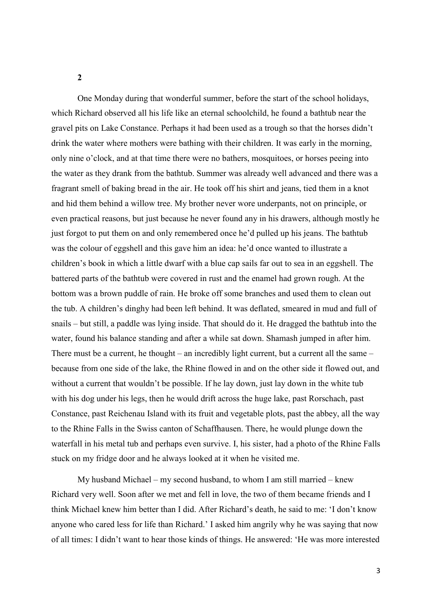**2**

One Monday during that wonderful summer, before the start of the school holidays, which Richard observed all his life like an eternal schoolchild, he found a bathtub near the gravel pits on Lake Constance. Perhaps it had been used as a trough so that the horses didn't drink the water where mothers were bathing with their children. It was early in the morning, only nine o'clock, and at that time there were no bathers, mosquitoes, or horses peeing into the water as they drank from the bathtub. Summer was already well advanced and there was a fragrant smell of baking bread in the air. He took off his shirt and jeans, tied them in a knot and hid them behind a willow tree. My brother never wore underpants, not on principle, or even practical reasons, but just because he never found any in his drawers, although mostly he just forgot to put them on and only remembered once he'd pulled up his jeans. The bathtub was the colour of eggshell and this gave him an idea: he'd once wanted to illustrate a children's book in which a little dwarf with a blue cap sails far out to sea in an eggshell. The battered parts of the bathtub were covered in rust and the enamel had grown rough. At the bottom was a brown puddle of rain. He broke off some branches and used them to clean out the tub. A children's dinghy had been left behind. It was deflated, smeared in mud and full of snails – but still, a paddle was lying inside. That should do it. He dragged the bathtub into the water, found his balance standing and after a while sat down. Shamash jumped in after him. There must be a current, he thought – an incredibly light current, but a current all the same – because from one side of the lake, the Rhine flowed in and on the other side it flowed out, and without a current that wouldn't be possible. If he lay down, just lay down in the white tub with his dog under his legs, then he would drift across the huge lake, past Rorschach, past Constance, past Reichenau Island with its fruit and vegetable plots, past the abbey, all the way to the Rhine Falls in the Swiss canton of Schaffhausen. There, he would plunge down the waterfall in his metal tub and perhaps even survive. I, his sister, had a photo of the Rhine Falls stuck on my fridge door and he always looked at it when he visited me.

My husband Michael – my second husband, to whom I am still married – knew Richard very well. Soon after we met and fell in love, the two of them became friends and I think Michael knew him better than I did. After Richard's death, he said to me: 'I don't know anyone who cared less for life than Richard.' I asked him angrily why he was saying that now of all times: I didn't want to hear those kinds of things. He answered: 'He was more interested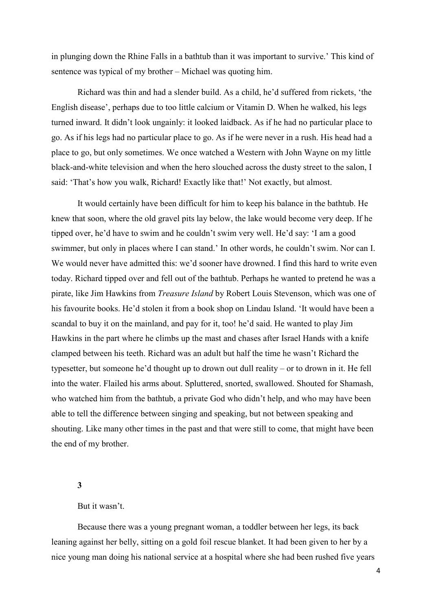in plunging down the Rhine Falls in a bathtub than it was important to survive.' This kind of sentence was typical of my brother – Michael was quoting him.

Richard was thin and had a slender build. As a child, he'd suffered from rickets, 'the English disease', perhaps due to too little calcium or Vitamin D. When he walked, his legs turned inward. It didn't look ungainly: it looked laidback. As if he had no particular place to go. As if his legs had no particular place to go. As if he were never in a rush. His head had a place to go, but only sometimes. We once watched a Western with John Wayne on my little black-and-white television and when the hero slouched across the dusty street to the salon, I said: 'That's how you walk, Richard! Exactly like that!' Not exactly, but almost.

It would certainly have been difficult for him to keep his balance in the bathtub. He knew that soon, where the old gravel pits lay below, the lake would become very deep. If he tipped over, he'd have to swim and he couldn't swim very well. He'd say: 'I am a good swimmer, but only in places where I can stand.' In other words, he couldn't swim. Nor can I. We would never have admitted this: we'd sooner have drowned. I find this hard to write even today. Richard tipped over and fell out of the bathtub. Perhaps he wanted to pretend he was a pirate, like Jim Hawkins from *Treasure Island* by Robert Louis Stevenson, which was one of his favourite books. He'd stolen it from a book shop on Lindau Island. 'It would have been a scandal to buy it on the mainland, and pay for it, too! he'd said. He wanted to play Jim Hawkins in the part where he climbs up the mast and chases after Israel Hands with a knife clamped between his teeth. Richard was an adult but half the time he wasn't Richard the typesetter, but someone he'd thought up to drown out dull reality – or to drown in it. He fell into the water. Flailed his arms about. Spluttered, snorted, swallowed. Shouted for Shamash, who watched him from the bathtub, a private God who didn't help, and who may have been able to tell the difference between singing and speaking, but not between speaking and shouting. Like many other times in the past and that were still to come, that might have been the end of my brother.

## **3**

## But it wasn't.

Because there was a young pregnant woman, a toddler between her legs, its back leaning against her belly, sitting on a gold foil rescue blanket. It had been given to her by a nice young man doing his national service at a hospital where she had been rushed five years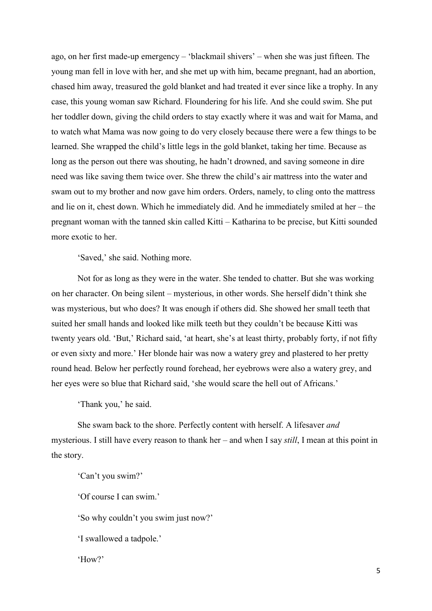ago, on her first made-up emergency – 'blackmail shivers' – when she was just fifteen. The young man fell in love with her, and she met up with him, became pregnant, had an abortion, chased him away, treasured the gold blanket and had treated it ever since like a trophy. In any case, this young woman saw Richard. Floundering for his life. And she could swim. She put her toddler down, giving the child orders to stay exactly where it was and wait for Mama, and to watch what Mama was now going to do very closely because there were a few things to be learned. She wrapped the child's little legs in the gold blanket, taking her time. Because as long as the person out there was shouting, he hadn't drowned, and saving someone in dire need was like saving them twice over. She threw the child's air mattress into the water and swam out to my brother and now gave him orders. Orders, namely, to cling onto the mattress and lie on it, chest down. Which he immediately did. And he immediately smiled at her – the pregnant woman with the tanned skin called Kitti – Katharina to be precise, but Kitti sounded more exotic to her.

'Saved,' she said. Nothing more.

Not for as long as they were in the water. She tended to chatter. But she was working on her character. On being silent – mysterious, in other words. She herself didn't think she was mysterious, but who does? It was enough if others did. She showed her small teeth that suited her small hands and looked like milk teeth but they couldn't be because Kitti was twenty years old. 'But,' Richard said, 'at heart, she's at least thirty, probably forty, if not fifty or even sixty and more.' Her blonde hair was now a watery grey and plastered to her pretty round head. Below her perfectly round forehead, her eyebrows were also a watery grey, and her eyes were so blue that Richard said, 'she would scare the hell out of Africans.'

'Thank you,' he said.

She swam back to the shore. Perfectly content with herself. A lifesaver *and* mysterious. I still have every reason to thank her – and when I say *still*, I mean at this point in the story.

'Can't you swim?'

'Of course I can swim.'

'So why couldn't you swim just now?'

'I swallowed a tadpole.'

'How?'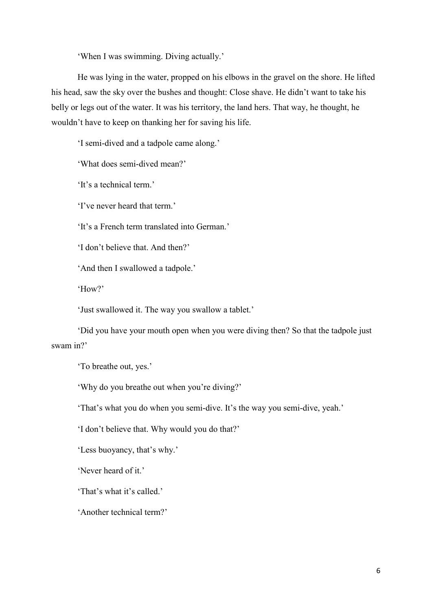'When I was swimming. Diving actually.'

He was lying in the water, propped on his elbows in the gravel on the shore. He lifted his head, saw the sky over the bushes and thought: Close shave. He didn't want to take his belly or legs out of the water. It was his territory, the land hers. That way, he thought, he wouldn't have to keep on thanking her for saving his life.

'I semi-dived and a tadpole came along.'

'What does semi-dived mean?'

'It's a technical term.'

'I've never heard that term.'

'It's a French term translated into German.'

'I don't believe that. And then?'

'And then I swallowed a tadpole.'

'How?'

'Just swallowed it. The way you swallow a tablet.'

'Did you have your mouth open when you were diving then? So that the tadpole just swam in?'

'To breathe out, yes.'

'Why do you breathe out when you're diving?'

'That's what you do when you semi-dive. It's the way you semi-dive, yeah.'

'I don't believe that. Why would you do that?'

'Less buoyancy, that's why.'

'Never heard of it.'

'That's what it's called.'

'Another technical term?'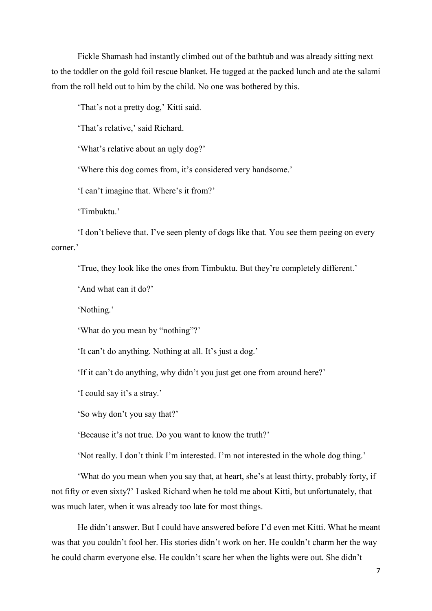Fickle Shamash had instantly climbed out of the bathtub and was already sitting next to the toddler on the gold foil rescue blanket. He tugged at the packed lunch and ate the salami from the roll held out to him by the child. No one was bothered by this.

'That's not a pretty dog,' Kitti said.

'That's relative,' said Richard.

'What's relative about an ugly dog?'

'Where this dog comes from, it's considered very handsome.'

'I can't imagine that. Where's it from?'

'Timbuktu.'

'I don't believe that. I've seen plenty of dogs like that. You see them peeing on every corner.'

'True, they look like the ones from Timbuktu. But they're completely different.'

'And what can it do?'

'Nothing.'

'What do you mean by "nothing"?'

'It can't do anything. Nothing at all. It's just a dog.'

'If it can't do anything, why didn't you just get one from around here?'

'I could say it's a stray.'

'So why don't you say that?'

'Because it's not true. Do you want to know the truth?'

'Not really. I don't think I'm interested. I'm not interested in the whole dog thing.'

'What do you mean when you say that, at heart, she's at least thirty, probably forty, if not fifty or even sixty?' I asked Richard when he told me about Kitti, but unfortunately, that was much later, when it was already too late for most things.

He didn't answer. But I could have answered before I'd even met Kitti. What he meant was that you couldn't fool her. His stories didn't work on her. He couldn't charm her the way he could charm everyone else. He couldn't scare her when the lights were out. She didn't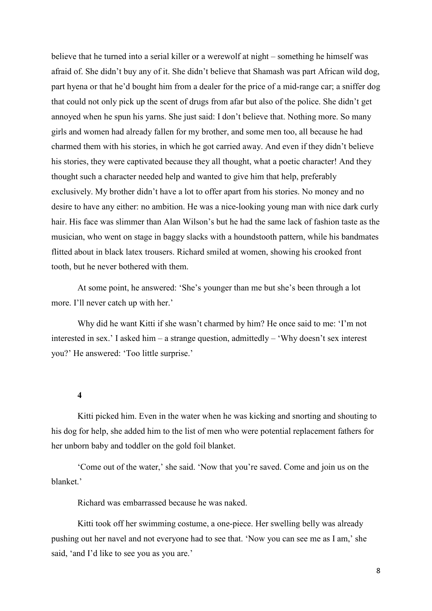believe that he turned into a serial killer or a werewolf at night – something he himself was afraid of. She didn't buy any of it. She didn't believe that Shamash was part African wild dog, part hyena or that he'd bought him from a dealer for the price of a mid-range car; a sniffer dog that could not only pick up the scent of drugs from afar but also of the police. She didn't get annoyed when he spun his yarns. She just said: I don't believe that. Nothing more. So many girls and women had already fallen for my brother, and some men too, all because he had charmed them with his stories, in which he got carried away. And even if they didn't believe his stories, they were captivated because they all thought, what a poetic character! And they thought such a character needed help and wanted to give him that help, preferably exclusively. My brother didn't have a lot to offer apart from his stories. No money and no desire to have any either: no ambition. He was a nice-looking young man with nice dark curly hair. His face was slimmer than Alan Wilson's but he had the same lack of fashion taste as the musician, who went on stage in baggy slacks with a houndstooth pattern, while his bandmates flitted about in black latex trousers. Richard smiled at women, showing his crooked front tooth, but he never bothered with them.

At some point, he answered: 'She's younger than me but she's been through a lot more. I'll never catch up with her.'

Why did he want Kitti if she wasn't charmed by him? He once said to me: 'I'm not interested in sex.' I asked him – a strange question, admittedly – 'Why doesn't sex interest you?' He answered: 'Too little surprise.'

**4**

Kitti picked him. Even in the water when he was kicking and snorting and shouting to his dog for help, she added him to the list of men who were potential replacement fathers for her unborn baby and toddler on the gold foil blanket.

'Come out of the water,' she said. 'Now that you're saved. Come and join us on the blanket.'

Richard was embarrassed because he was naked.

Kitti took off her swimming costume, a one-piece. Her swelling belly was already pushing out her navel and not everyone had to see that. 'Now you can see me as I am,' she said, 'and I'd like to see you as you are.'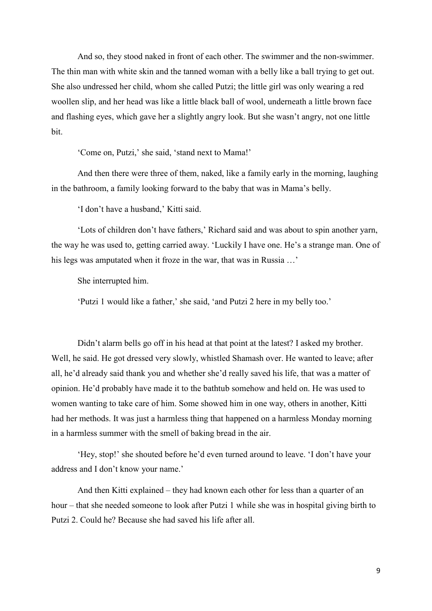And so, they stood naked in front of each other. The swimmer and the non-swimmer. The thin man with white skin and the tanned woman with a belly like a ball trying to get out. She also undressed her child, whom she called Putzi; the little girl was only wearing a red woollen slip, and her head was like a little black ball of wool, underneath a little brown face and flashing eyes, which gave her a slightly angry look. But she wasn't angry, not one little bit.

'Come on, Putzi,' she said, 'stand next to Mama!'

And then there were three of them, naked, like a family early in the morning, laughing in the bathroom, a family looking forward to the baby that was in Mama's belly.

'I don't have a husband,' Kitti said.

'Lots of children don't have fathers,' Richard said and was about to spin another yarn, the way he was used to, getting carried away. 'Luckily I have one. He's a strange man. One of his legs was amputated when it froze in the war, that was in Russia …'

She interrupted him.

'Putzi 1 would like a father,' she said, 'and Putzi 2 here in my belly too.'

Didn't alarm bells go off in his head at that point at the latest? I asked my brother. Well, he said. He got dressed very slowly, whistled Shamash over. He wanted to leave; after all, he'd already said thank you and whether she'd really saved his life, that was a matter of opinion. He'd probably have made it to the bathtub somehow and held on. He was used to women wanting to take care of him. Some showed him in one way, others in another, Kitti had her methods. It was just a harmless thing that happened on a harmless Monday morning in a harmless summer with the smell of baking bread in the air.

'Hey, stop!' she shouted before he'd even turned around to leave. 'I don't have your address and I don't know your name.'

And then Kitti explained – they had known each other for less than a quarter of an hour – that she needed someone to look after Putzi 1 while she was in hospital giving birth to Putzi 2. Could he? Because she had saved his life after all.